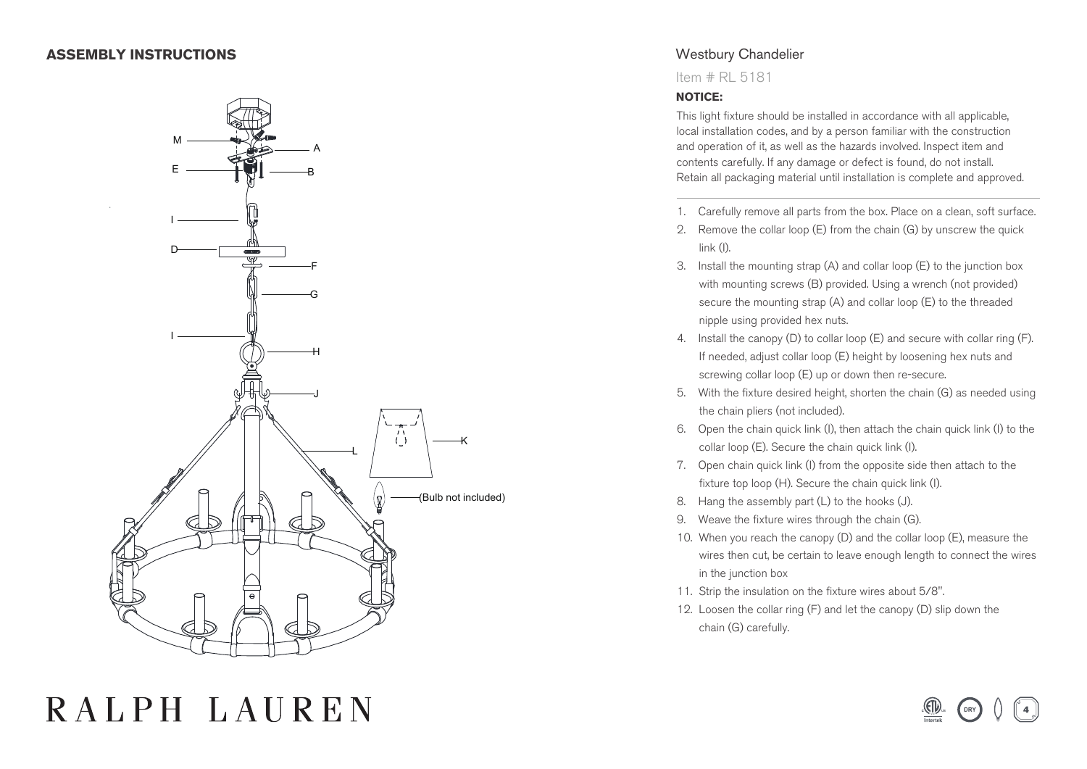### **ASSEMBLY INSTRUCTIONS**



# RALPH LAUREN

## Westbury Chandelier

Item # RL 5181

#### **NOTICE:**

This light fixture should be installed in accordance with all applicable, local installation codes, and by a person familiar with the construction and operation of it, as well as the hazards involved. Inspect item and contents carefully. If any damage or defect is found, do not install. Retain all packaging material until installation is complete and approved.

- 1. Carefully remove all parts from the box. Place on a clean, soft surface.
- 2. Remove the collar loop (E) from the chain (G) by unscrew the quick link (I).
- 3. Install the mounting strap (A) and collar loop (E) to the junction box with mounting screws (B) provided. Using a wrench (not provided) secure the mounting strap (A) and collar loop (E) to the threaded nipple using provided hex nuts.
- 4. Install the canopy (D) to collar loop (E) and secure with collar ring (F). If needed, adjust collar loop (E) height by loosening hex nuts and screwing collar loop (E) up or down then re-secure.
- 5. With the fixture desired height, shorten the chain (G) as needed using the chain pliers (not included).
- 6. Open the chain quick link (I), then attach the chain quick link (I) to the collar loop (E). Secure the chain quick link (I).
- 7. Open chain quick link (I) from the opposite side then attach to the fixture top loop (H). Secure the chain quick link (I).
- 8. Hang the assembly part (L) to the hooks (J).
- 9. Weave the fixture wires through the chain (G).
- 10. When you reach the canopy (D) and the collar loop (E), measure the wires then cut, be certain to leave enough length to connect the wires in the junction box
- 11. Strip the insulation on the fixture wires about 5/8".
- 12. Loosen the collar ring (F) and let the canopy (D) slip down the chain (G) carefully.